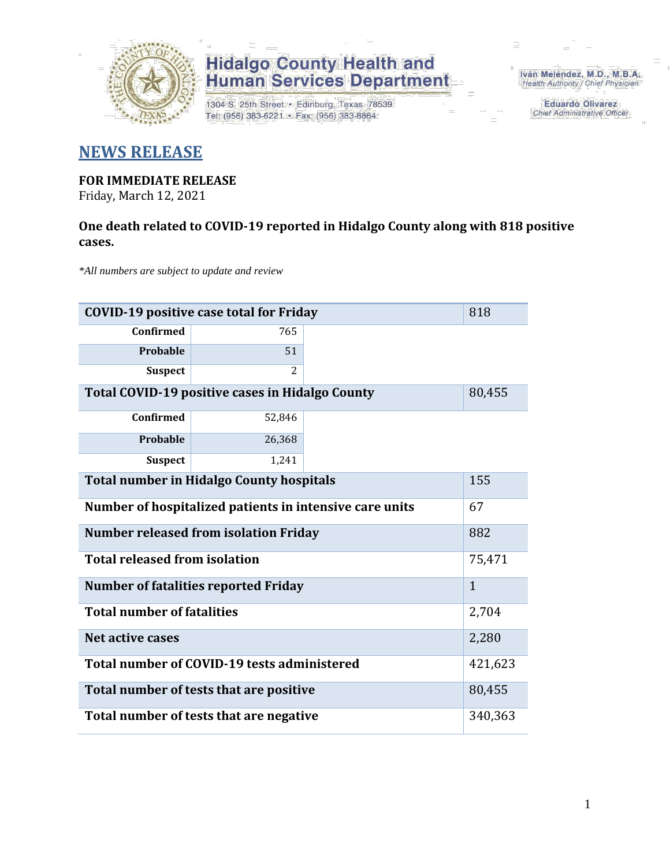

1304 S. 25th Street · Edinburg, Texas 78539 Tel: (956) 383-6221 · Fax: (956) 383-8864

Iván Meléndez, M.D., M.B.A. Health Authority / Chief Physician

> **Eduardo Olivarez** Chief Administrative Officer

#### **NEWS RELEASE**

#### **FOR IMMEDIATE RELEASE**

Friday, March 12, 2021

#### **One death related to COVID-19 reported in Hidalgo County along with 818 positive cases.**

*\*All numbers are subject to update and review*

| <b>COVID-19 positive case total for Friday</b><br>818            |                                             |  |              |  |  |  |  |  |  |  |
|------------------------------------------------------------------|---------------------------------------------|--|--------------|--|--|--|--|--|--|--|
| Confirmed                                                        | 765                                         |  |              |  |  |  |  |  |  |  |
| <b>Probable</b>                                                  | 51                                          |  |              |  |  |  |  |  |  |  |
| <b>Suspect</b>                                                   | 2                                           |  |              |  |  |  |  |  |  |  |
| <b>Total COVID-19 positive cases in Hidalgo County</b><br>80,455 |                                             |  |              |  |  |  |  |  |  |  |
| <b>Confirmed</b>                                                 | 52,846                                      |  |              |  |  |  |  |  |  |  |
| Probable                                                         | 26,368                                      |  |              |  |  |  |  |  |  |  |
| 1,241<br><b>Suspect</b>                                          |                                             |  |              |  |  |  |  |  |  |  |
| <b>Total number in Hidalgo County hospitals</b><br>155           |                                             |  |              |  |  |  |  |  |  |  |
| 67<br>Number of hospitalized patients in intensive care units    |                                             |  |              |  |  |  |  |  |  |  |
| <b>Number released from isolation Friday</b><br>882              |                                             |  |              |  |  |  |  |  |  |  |
| <b>Total released from isolation</b>                             |                                             |  | 75,471       |  |  |  |  |  |  |  |
|                                                                  | <b>Number of fatalities reported Friday</b> |  | $\mathbf{1}$ |  |  |  |  |  |  |  |
| <b>Total number of fatalities</b>                                |                                             |  | 2,704        |  |  |  |  |  |  |  |
| Net active cases                                                 |                                             |  | 2,280        |  |  |  |  |  |  |  |
|                                                                  | Total number of COVID-19 tests administered |  | 421,623      |  |  |  |  |  |  |  |
|                                                                  | Total number of tests that are positive     |  | 80,455       |  |  |  |  |  |  |  |
| Total number of tests that are negative<br>340,363               |                                             |  |              |  |  |  |  |  |  |  |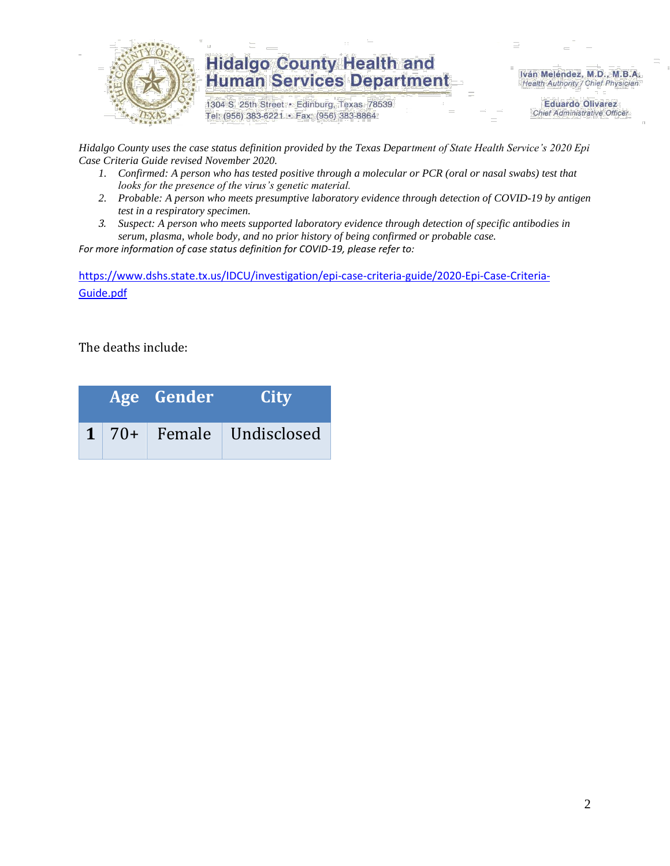

1304 S. 25th Street · Edinburg, Texas 78539 Tel: (956) 383-6221 · Fax: (956) 383-8864

Iván Meléndez, M.D., M.B.A. Health Authority / Chief Physician

> **Eduardo Olivarez Chief Administrative Officer**

*Hidalgo County uses the case status definition provided by the Texas Department of State Health Service's 2020 Epi Case Criteria Guide revised November 2020.*

- *1. Confirmed: A person who has tested positive through a molecular or PCR (oral or nasal swabs) test that looks for the presence of the virus's genetic material.*
- *2. Probable: A person who meets presumptive laboratory evidence through detection of COVID-19 by antigen test in a respiratory specimen.*
- *3. Suspect: A person who meets supported laboratory evidence through detection of specific antibodies in serum, plasma, whole body, and no prior history of being confirmed or probable case.*

*For more information of case status definition for COVID-19, please refer to:*

[https://www.dshs.state.tx.us/IDCU/investigation/epi-case-criteria-guide/2020-Epi-Case-Criteria-](https://www.dshs.state.tx.us/IDCU/investigation/epi-case-criteria-guide/2020-Epi-Case-Criteria-Guide.pdf)[Guide.pdf](https://www.dshs.state.tx.us/IDCU/investigation/epi-case-criteria-guide/2020-Epi-Case-Criteria-Guide.pdf)

The deaths include:

|  | Age Gender | <b>City</b>                     |
|--|------------|---------------------------------|
|  |            | $1 \mid 70+$ Female Undisclosed |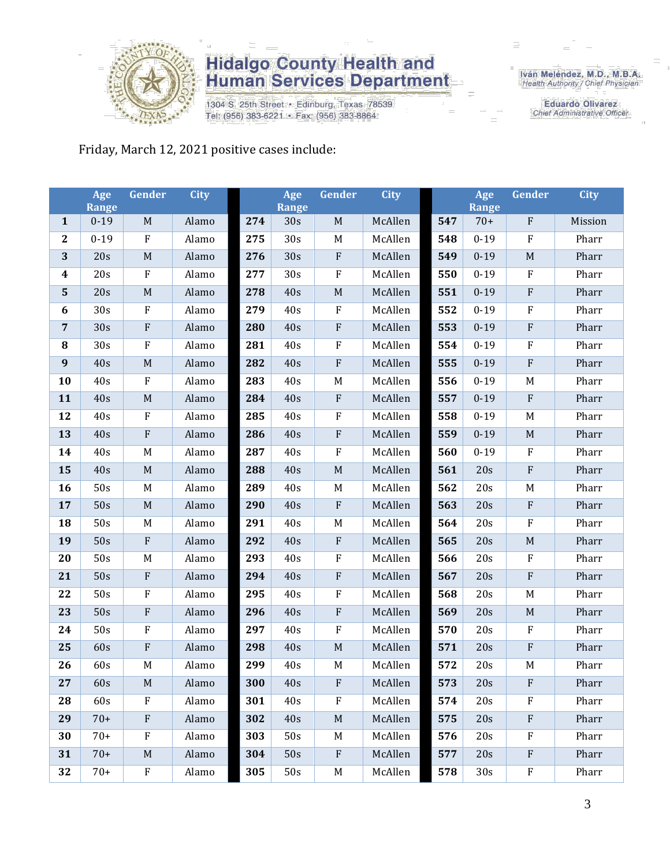

1304 S. 25th Street · Edinburg, Texas 78539 Tel: (956) 383-6221 · Fax: (956) 383-8864

Iván Meléndez, M.D., M.B.A.<br>Health Authority / Chief Physician

**Eduardo Olivarez** Chief Administrative Officer

#### Friday, March 12, 2021 positive cases include:

|                         | Age<br><b>Range</b> | Gender      | <b>City</b> |     | Age<br><b>Range</b> | Gender                    | <b>City</b> |     | Age<br><b>Range</b> | Gender                    | <b>City</b> |
|-------------------------|---------------------|-------------|-------------|-----|---------------------|---------------------------|-------------|-----|---------------------|---------------------------|-------------|
| $\mathbf{1}$            | $0 - 19$            | $\mathbf M$ | Alamo       | 274 | 30s                 | $\mathbf M$               | McAllen     | 547 | $70+$               | $\rm F$                   | Mission     |
| $\mathbf{2}$            | $0 - 19$            | ${\bf F}$   | Alamo       | 275 | 30s                 | $\mathbf M$               | McAllen     | 548 | $0 - 19$            | $\mathbf F$               | Pharr       |
| 3                       | 20s                 | $\mathbf M$ | Alamo       | 276 | 30s                 | $\rm F$                   | McAllen     | 549 | $0 - 19$            | $\mathbf M$               | Pharr       |
| $\boldsymbol{4}$        | 20s                 | ${\bf F}$   | Alamo       | 277 | 30s                 | $\rm F$                   | McAllen     | 550 | $0 - 19$            | $\rm F$                   | Pharr       |
| $\overline{\mathbf{5}}$ | 20s                 | $\mathbf M$ | Alamo       | 278 | 40s                 | $\mathbf M$               | McAllen     | 551 | $0 - 19$            | ${\bf F}$                 | Pharr       |
| 6                       | 30s                 | ${\bf F}$   | Alamo       | 279 | 40s                 | $\rm F$                   | McAllen     | 552 | $0 - 19$            | $\rm F$                   | Pharr       |
| $\overline{7}$          | 30s                 | ${\bf F}$   | Alamo       | 280 | 40s                 | ${\bf F}$                 | McAllen     | 553 | $0 - 19$            | $\rm F$                   | Pharr       |
| 8                       | 30s                 | $\rm F$     | Alamo       | 281 | 40s                 | $\boldsymbol{F}$          | McAllen     | 554 | $0 - 19$            | $\rm F$                   | Pharr       |
| 9                       | 40s                 | $\mathbf M$ | Alamo       | 282 | 40s                 | $\rm F$                   | McAllen     | 555 | $0 - 19$            | ${\bf F}$                 | Pharr       |
| 10                      | 40s                 | ${\bf F}$   | Alamo       | 283 | 40s                 | M                         | McAllen     | 556 | $0 - 19$            | M                         | Pharr       |
| 11                      | 40s                 | $\mathbf M$ | Alamo       | 284 | 40s                 | $\rm F$                   | McAllen     | 557 | $0 - 19$            | $\rm F$                   | Pharr       |
| 12                      | 40s                 | F           | Alamo       | 285 | 40s                 | $\rm F$                   | McAllen     | 558 | $0 - 19$            | $\mathbf M$               | Pharr       |
| 13                      | 40s                 | ${\bf F}$   | Alamo       | 286 | 40s                 | $\rm F$                   | McAllen     | 559 | $0 - 19$            | $\mathbf M$               | Pharr       |
| 14                      | 40s                 | M           | Alamo       | 287 | 40s                 | $\rm F$                   | McAllen     | 560 | $0 - 19$            | $\rm F$                   | Pharr       |
| 15                      | 40s                 | $\mathbf M$ | Alamo       | 288 | 40s                 | $\mathbf M$               | McAllen     | 561 | 20s                 | ${\bf F}$                 | Pharr       |
| 16                      | 50s                 | M           | Alamo       | 289 | 40s                 | $\mathbf M$               | McAllen     | 562 | 20s                 | $\mathbf M$               | Pharr       |
| 17                      | 50s                 | $\mathbf M$ | Alamo       | 290 | 40s                 | ${\bf F}$                 | McAllen     | 563 | 20s                 | $\rm F$                   | Pharr       |
| 18                      | 50s                 | $\mathbf M$ | Alamo       | 291 | 40s                 | M                         | McAllen     | 564 | 20s                 | $\rm F$                   | Pharr       |
| 19                      | 50s                 | ${\bf F}$   | Alamo       | 292 | 40s                 | $\rm F$                   | McAllen     | 565 | 20s                 | $\mathbf M$               | Pharr       |
| 20                      | 50s                 | M           | Alamo       | 293 | 40s                 | $\rm F$                   | McAllen     | 566 | 20s                 | $\rm F$                   | Pharr       |
| 21                      | 50s                 | ${\bf F}$   | Alamo       | 294 | 40s                 | $\rm F$                   | McAllen     | 567 | 20s                 | $\rm F$                   | Pharr       |
| 22                      | 50s                 | ${\bf F}$   | Alamo       | 295 | 40s                 | $\rm F$                   | McAllen     | 568 | 20s                 | M                         | Pharr       |
| 23                      | 50s                 | ${\bf F}$   | Alamo       | 296 | 40s                 | ${\bf F}$                 | McAllen     | 569 | 20s                 | $\mathbf M$               | Pharr       |
| 24                      | 50s                 | $\rm F$     | Alamo       | 297 | 40s                 | $\rm F$                   | McAllen     | 570 | 20s                 | $\boldsymbol{\mathrm{F}}$ | Pharr       |
| 25                      | 60s                 | ${\bf F}$   | Alamo       | 298 | 40s                 | $\mathbf M$               | McAllen     | 571 | 20s                 | ${\bf F}$                 | Pharr       |
| 26                      | 60s                 | M           | Alamo       | 299 | 40s                 | M                         | McAllen     | 572 | 20s                 | $\mathbf M$               | Pharr       |
| 27                      | 60s                 | M           | Alamo       | 300 | 40s                 | ${\bf F}$                 | McAllen     | 573 | 20s                 | $\rm F$                   | Pharr       |
| 28                      | 60s                 | $\rm F$     | Alamo       | 301 | 40s                 | ${\bf F}$                 | McAllen     | 574 | 20s                 | $\boldsymbol{\mathrm{F}}$ | Pharr       |
| 29                      | $70+$               | ${\bf F}$   | Alamo       | 302 | 40s                 | $\mathbf M$               | McAllen     | 575 | 20s                 | $\mathbf F$               | Pharr       |
| 30                      | $70+$               | ${\bf F}$   | Alamo       | 303 | 50s                 | M                         | McAllen     | 576 | 20s                 | $\rm F$                   | Pharr       |
| 31                      | $70+$               | $\mathbf M$ | Alamo       | 304 | 50s                 | $\boldsymbol{\mathrm{F}}$ | McAllen     | 577 | 20s                 | $\mathbf{F}$              | Pharr       |
| 32                      | $70+$               | F           | Alamo       | 305 | 50s                 | M                         | McAllen     | 578 | 30s                 | $\boldsymbol{F}$          | Pharr       |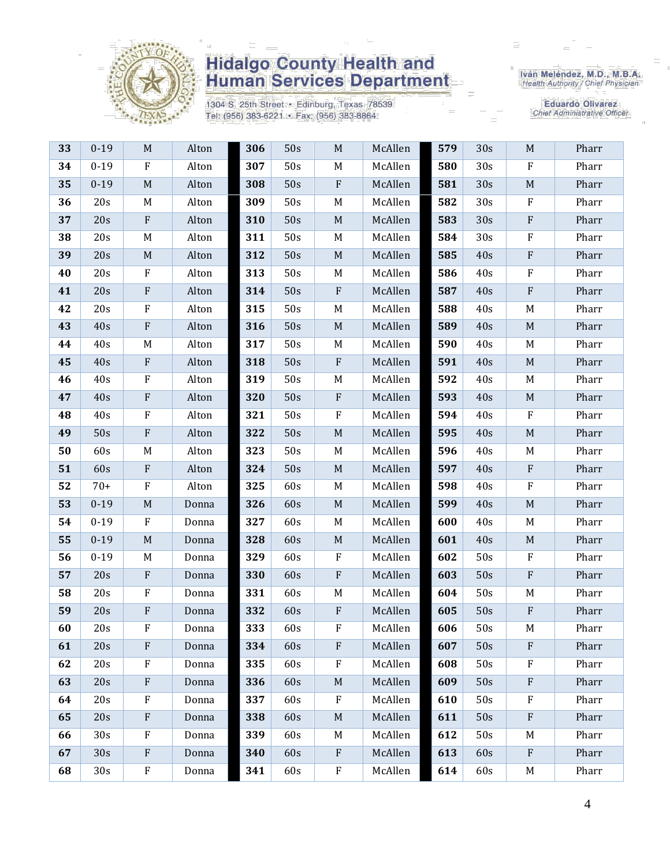

1304 S. 25th Street · Edinburg, Texas 78539 Tel: (956) 383-6221 · Fax: (956) 383-8864

Iván Meléndez, M.D., M.B.A.<br>Health Authority / Chief Physician

| 33 | $0 - 19$        | $\mathbf M$               | Alton | 306 | 50s | $M_{\odot}$               | McAllen | 579 | 30s | M                         | Pharr |
|----|-----------------|---------------------------|-------|-----|-----|---------------------------|---------|-----|-----|---------------------------|-------|
| 34 | $0 - 19$        | $\rm F$                   | Alton | 307 | 50s | M                         | McAllen | 580 | 30s | $\rm F$                   | Pharr |
| 35 | $0 - 19$        | $\mathbf M$               | Alton | 308 | 50s | $\boldsymbol{\mathrm{F}}$ | McAllen | 581 | 30s | $\mathbf M$               | Pharr |
| 36 | 20s             | M                         | Alton | 309 | 50s | M                         | McAllen | 582 | 30s | $\rm F$                   | Pharr |
| 37 | 20s             | ${\bf F}$                 | Alton | 310 | 50s | $\mathbf M$               | McAllen | 583 | 30s | $\rm F$                   | Pharr |
| 38 | 20s             | $M_{\odot}$               | Alton | 311 | 50s | M                         | McAllen | 584 | 30s | $\rm F$                   | Pharr |
| 39 | 20s             | M                         | Alton | 312 | 50s | $\mathbf M$               | McAllen | 585 | 40s | ${\bf F}$                 | Pharr |
| 40 | 20s             | $\mathbf F$               | Alton | 313 | 50s | M                         | McAllen | 586 | 40s | $\mathbf F$               | Pharr |
| 41 | 20s             | $\boldsymbol{\mathrm{F}}$ | Alton | 314 | 50s | $\boldsymbol{\mathrm{F}}$ | McAllen | 587 | 40s | ${\bf F}$                 | Pharr |
| 42 | 20s             | F                         | Alton | 315 | 50s | M                         | McAllen | 588 | 40s | M                         | Pharr |
| 43 | 40s             | $\rm F$                   | Alton | 316 | 50s | $\mathbf M$               | McAllen | 589 | 40s | $\mathbf M$               | Pharr |
| 44 | 40s             | M                         | Alton | 317 | 50s | M                         | McAllen | 590 | 40s | M                         | Pharr |
| 45 | 40s             | $\boldsymbol{\mathrm{F}}$ | Alton | 318 | 50s | $\boldsymbol{\mathrm{F}}$ | McAllen | 591 | 40s | $\mathbf M$               | Pharr |
| 46 | 40s             | $\mathbf F$               | Alton | 319 | 50s | M                         | McAllen | 592 | 40s | M                         | Pharr |
| 47 | 40s             | ${\bf F}$                 | Alton | 320 | 50s | $\boldsymbol{\mathrm{F}}$ | McAllen | 593 | 40s | $\mathbf M$               | Pharr |
| 48 | 40s             | $\rm F$                   | Alton | 321 | 50s | ${\bf F}$                 | McAllen | 594 | 40s | $\rm F$                   | Pharr |
| 49 | 50s             | $\rm F$                   | Alton | 322 | 50s | $\mathbf M$               | McAllen | 595 | 40s | $\mathbf M$               | Pharr |
| 50 | 60s             | M                         | Alton | 323 | 50s | M                         | McAllen | 596 | 40s | M                         | Pharr |
| 51 | 60s             | $\rm F$                   | Alton | 324 | 50s | $\mathbf M$               | McAllen | 597 | 40s | $\rm F$                   | Pharr |
| 52 | $70+$           | ${\bf F}$                 | Alton | 325 | 60s | M                         | McAllen | 598 | 40s | $\rm F$                   | Pharr |
| 53 | $0 - 19$        | $\mathbf M$               | Donna | 326 | 60s | $\mathbf M$               | McAllen | 599 | 40s | $\mathbf M$               | Pharr |
| 54 | $0 - 19$        | $\mathbf F$               | Donna | 327 | 60s | M                         | McAllen | 600 | 40s | M                         | Pharr |
| 55 | $0 - 19$        | $\mathbf M$               | Donna | 328 | 60s | $\mathbf M$               | McAllen | 601 | 40s | $\mathbf M$               | Pharr |
| 56 | $0 - 19$        | M                         | Donna | 329 | 60s | F                         | McAllen | 602 | 50s | F                         | Pharr |
| 57 | 20s             | $\rm F$                   | Donna | 330 | 60s | ${\bf F}$                 | McAllen | 603 | 50s | $\rm F$                   | Pharr |
| 58 | 20s             | ${\bf F}$                 | Donna | 331 | 60s | M                         | McAllen | 604 | 50s | M                         | Pharr |
| 59 | 20s             | $\boldsymbol{\mathrm{F}}$ | Donna | 332 | 60s | ${\bf F}$                 | McAllen | 605 | 50s | $\rm F$                   | Pharr |
| 60 | 20s             | F                         | Donna | 333 | 60s | F                         | McAllen | 606 | 50s | M                         | Pharr |
| 61 | 20s             | F                         | Donna | 334 | 60s | $\mathbf{F}$              | McAllen | 607 | 50s | $\mathbf{F}$              | Pharr |
| 62 | 20s             | $\rm F$                   | Donna | 335 | 60s | $\boldsymbol{\mathrm{F}}$ | McAllen | 608 | 50s | $_{\rm F}$                | Pharr |
| 63 | 20s             | $\mathbf{F}$              | Donna | 336 | 60s | $M_{\odot}$               | McAllen | 609 | 50s | $\rm F$                   | Pharr |
| 64 | 20s             | $\mathbf{F}$              | Donna | 337 | 60s | F                         | McAllen | 610 | 50s | $\rm F$                   | Pharr |
| 65 | 20s             | $\rm F$                   | Donna | 338 | 60s | $\mathbf M$               | McAllen | 611 | 50s | $\boldsymbol{\mathrm{F}}$ | Pharr |
| 66 | 30 <sub>s</sub> | $\mathbf F$               | Donna | 339 | 60s | M                         | McAllen | 612 | 50s | M                         | Pharr |
| 67 | 30s             | $\mathbf{F}$              | Donna | 340 | 60s | $\mathbf{F}$              | McAllen | 613 | 60s | $\mathbf{F}$              | Pharr |
| 68 | 30s             | $\rm F$                   | Donna | 341 | 60s | $\rm F$                   | McAllen | 614 | 60s | M                         | Pharr |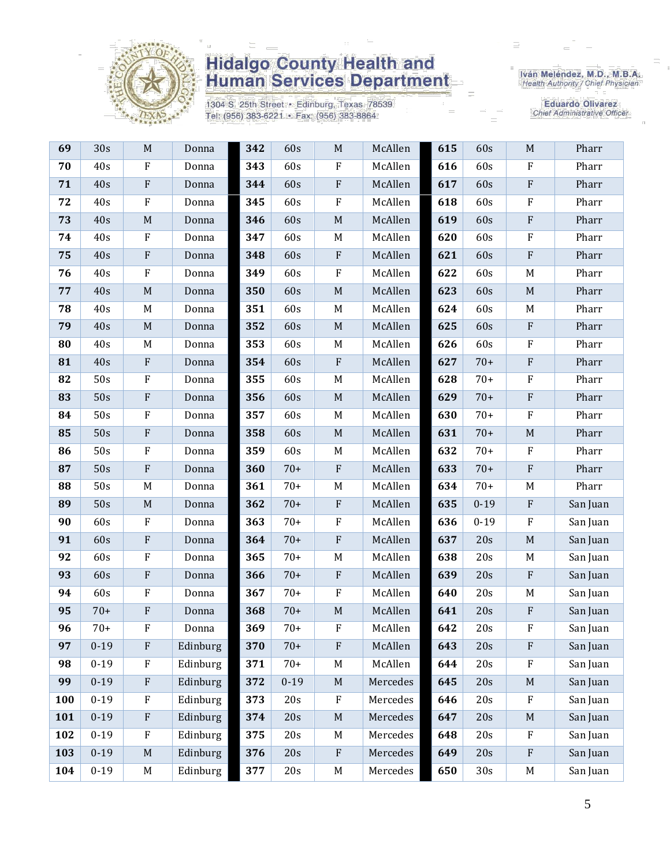

1304 S. 25th Street · Edinburg, Texas 78539 Tel: (956) 383-6221 · Fax: (956) 383-8864

Iván Meléndez, M.D., M.B.A.<br>Health Authority / Chief Physician

| 69  | 30s      | $\mathbf M$  | Donna    | 342 | 60s      | $\mathbf M$               | McAllen  | 615 | 60s      | $\mathbf M$  | Pharr    |
|-----|----------|--------------|----------|-----|----------|---------------------------|----------|-----|----------|--------------|----------|
| 70  | 40s      | $\rm F$      | Donna    | 343 | 60s      | ${\bf F}$                 | McAllen  | 616 | 60s      | $\rm F$      | Pharr    |
| 71  | 40s      | ${\bf F}$    | Donna    | 344 | 60s      | $\rm F$                   | McAllen  | 617 | 60s      | $\rm F$      | Pharr    |
| 72  | 40s      | $\rm F$      | Donna    | 345 | 60s      | F                         | McAllen  | 618 | 60s      | $\rm F$      | Pharr    |
| 73  | 40s      | $\mathbf M$  | Donna    | 346 | 60s      | $\mathbf M$               | McAllen  | 619 | 60s      | $\rm F$      | Pharr    |
| 74  | 40s      | $\rm F$      | Donna    | 347 | 60s      | $\mathbf M$               | McAllen  | 620 | 60s      | ${\bf F}$    | Pharr    |
| 75  | 40s      | $\rm F$      | Donna    | 348 | 60s      | ${\bf F}$                 | McAllen  | 621 | 60s      | $\rm F$      | Pharr    |
| 76  | 40s      | $_{\rm F}$   | Donna    | 349 | 60s      | F                         | McAllen  | 622 | 60s      | M            | Pharr    |
| 77  | 40s      | $\mathbf M$  | Donna    | 350 | 60s      | $\mathbf M$               | McAllen  | 623 | 60s      | $\mathbf M$  | Pharr    |
| 78  | 40s      | M            | Donna    | 351 | 60s      | M                         | McAllen  | 624 | 60s      | M            | Pharr    |
| 79  | 40s      | $\mathbf M$  | Donna    | 352 | 60s      | $\mathbf M$               | McAllen  | 625 | 60s      | $\rm F$      | Pharr    |
| 80  | 40s      | M            | Donna    | 353 | 60s      | M                         | McAllen  | 626 | 60s      | ${\bf F}$    | Pharr    |
| 81  | 40s      | ${\bf F}$    | Donna    | 354 | 60s      | ${\bf F}$                 | McAllen  | 627 | $70+$    | $\rm F$      | Pharr    |
| 82  | 50s      | $\rm F$      | Donna    | 355 | 60s      | $M_{\rm}$                 | McAllen  | 628 | $70+$    | $\rm F$      | Pharr    |
| 83  | 50s      | $\rm F$      | Donna    | 356 | 60s      | $\mathbf M$               | McAllen  | 629 | $70+$    | $\rm F$      | Pharr    |
| 84  | 50s      | $\rm F$      | Donna    | 357 | 60s      | $\mathbf M$               | McAllen  | 630 | $70+$    | $\rm F$      | Pharr    |
| 85  | 50s      | $\rm F$      | Donna    | 358 | 60s      | $\mathbf M$               | McAllen  | 631 | $70+$    | $\mathbf M$  | Pharr    |
| 86  | 50s      | $\rm F$      | Donna    | 359 | 60s      | M                         | McAllen  | 632 | $70+$    | $\mathbf F$  | Pharr    |
| 87  | 50s      | $\rm F$      | Donna    | 360 | $70+$    | ${\bf F}$                 | McAllen  | 633 | $70+$    | $\rm F$      | Pharr    |
| 88  | 50s      | M            | Donna    | 361 | $70+$    | $M_{\rm}$                 | McAllen  | 634 | $70+$    | M            | Pharr    |
| 89  | 50s      | $\mathbf M$  | Donna    | 362 | $70+$    | $\boldsymbol{\mathrm{F}}$ | McAllen  | 635 | $0 - 19$ | $\mathbf{F}$ | San Juan |
| 90  | 60s      | $\rm F$      | Donna    | 363 | $70+$    | F                         | McAllen  | 636 | $0 - 19$ | $\rm F$      | San Juan |
| 91  | 60s      | ${\bf F}$    | Donna    | 364 | $70+$    | ${\bf F}$                 | McAllen  | 637 | 20s      | $\mathbf M$  | San Juan |
| 92  | 60s      | $\rm F$      | Donna    | 365 | $70+$    | $\mathbf M$               | McAllen  | 638 | 20s      | M            | San Juan |
| 93  | 60s      | ${\bf F}$    | Donna    | 366 | $70+$    | ${\bf F}$                 | McAllen  | 639 | 20s      | $\,$ F       | San Juan |
| 94  | 60s      | $\rm F$      | Donna    | 367 | $70+$    | ${\bf F}$                 | McAllen  | 640 | 20s      | M            | San Juan |
| 95  | $70+$    | ${\bf F}$    | Donna    | 368 | $70+$    | $\mathbf M$               | McAllen  | 641 | 20s      | $\,$ F       | San Juan |
| 96  | $70+$    | F            | Donna    | 369 | $70+$    | F                         | McAllen  | 642 | 20s      | F            | San Juan |
| 97  | $0 - 19$ | $\mathbf{F}$ | Edinburg | 370 | $70+$    | F                         | McAllen  | 643 | 20s      | $\mathbf{F}$ | San Juan |
| 98  | $0 - 19$ | $\rm F$      | Edinburg | 371 | $70+$    | M                         | McAllen  | 644 | 20s      | $\rm F$      | San Juan |
| 99  | $0 - 19$ | F            | Edinburg | 372 | $0 - 19$ | $M_{\odot}$               | Mercedes | 645 | 20s      | M            | San Juan |
| 100 | $0 - 19$ | $\mathbf{F}$ | Edinburg | 373 | 20s      | ${\bf F}$                 | Mercedes | 646 | 20s      | $_{\rm F}$   | San Juan |
| 101 | $0-19$   | $\rm F$      | Edinburg | 374 | 20s      | $\mathbf M$               | Mercedes | 647 | 20s      | M            | San Juan |
| 102 | $0 - 19$ | $\rm F$      | Edinburg | 375 | 20s      | M                         | Mercedes | 648 | 20s      | $_{\rm F}$   | San Juan |
| 103 | $0 - 19$ | $\mathbf M$  | Edinburg | 376 | 20s      | ${\bf F}$                 | Mercedes | 649 | 20s      | $\rm F$      | San Juan |
| 104 | $0 - 19$ | M            | Edinburg | 377 | 20s      | M                         | Mercedes | 650 | 30s      | M            | San Juan |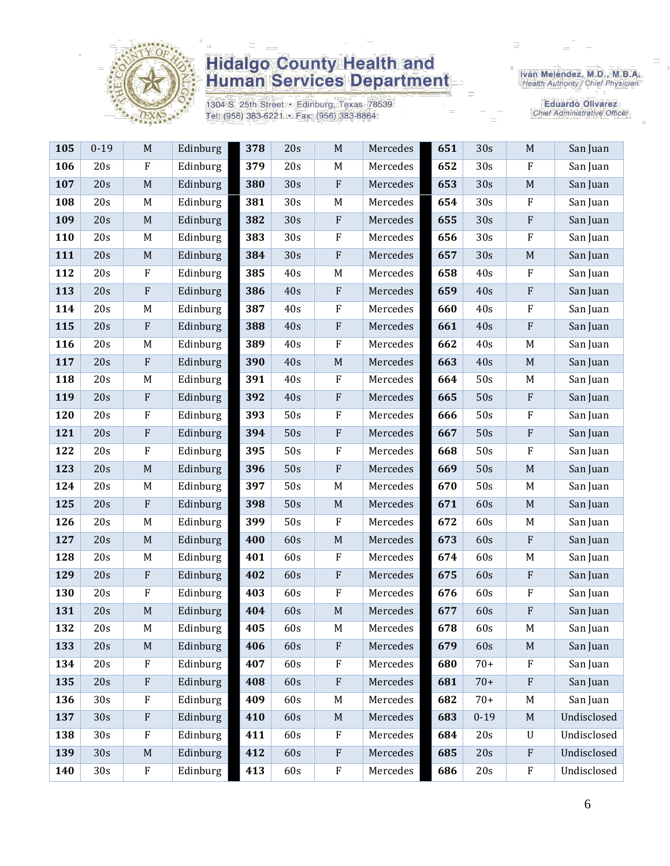

1304 S. 25th Street · Edinburg, Texas 78539 Tel: (956) 383-6221 · Fax: (956) 383-8864

Iván Meléndez, M.D., M.B.A.<br>Health Authority / Chief Physician

| 105 | $0 - 19$ | $\mathbf M$ | Edinburg | 378 | 20s | $\mathbf M$ | Mercedes | 651 | 30s      | $\mathbf M$               | San Juan    |
|-----|----------|-------------|----------|-----|-----|-------------|----------|-----|----------|---------------------------|-------------|
| 106 | 20s      | ${\bf F}$   | Edinburg | 379 | 20s | $\mathbf M$ | Mercedes | 652 | 30s      | $\rm F$                   | San Juan    |
| 107 | 20s      | $\mathbf M$ | Edinburg | 380 | 30s | ${\bf F}$   | Mercedes | 653 | 30s      | $\mathbf M$               | San Juan    |
| 108 | 20s      | $\mathbf M$ | Edinburg | 381 | 30s | $\mathbf M$ | Mercedes | 654 | 30s      | ${\bf F}$                 | San Juan    |
| 109 | 20s      | $\mathbf M$ | Edinburg | 382 | 30s | ${\bf F}$   | Mercedes | 655 | 30s      | ${\bf F}$                 | San Juan    |
| 110 | 20s      | M           | Edinburg | 383 | 30s | ${\bf F}$   | Mercedes | 656 | 30s      | ${\bf F}$                 | San Juan    |
| 111 | 20s      | $\mathbf M$ | Edinburg | 384 | 30s | ${\bf F}$   | Mercedes | 657 | 30s      | $\mathbf M$               | San Juan    |
| 112 | 20s      | ${\bf F}$   | Edinburg | 385 | 40s | $\mathbf M$ | Mercedes | 658 | 40s      | ${\bf F}$                 | San Juan    |
| 113 | 20s      | ${\bf F}$   | Edinburg | 386 | 40s | ${\bf F}$   | Mercedes | 659 | 40s      | ${\bf F}$                 | San Juan    |
| 114 | 20s      | M           | Edinburg | 387 | 40s | F           | Mercedes | 660 | 40s      | ${\bf F}$                 | San Juan    |
| 115 | 20s      | ${\bf F}$   | Edinburg | 388 | 40s | ${\bf F}$   | Mercedes | 661 | 40s      | $\rm F$                   | San Juan    |
| 116 | 20s      | M           | Edinburg | 389 | 40s | ${\bf F}$   | Mercedes | 662 | 40s      | M                         | San Juan    |
| 117 | 20s      | ${\bf F}$   | Edinburg | 390 | 40s | $\mathbf M$ | Mercedes | 663 | 40s      | $\mathbf M$               | San Juan    |
| 118 | 20s      | M           | Edinburg | 391 | 40s | ${\bf F}$   | Mercedes | 664 | 50s      | M                         | San Juan    |
| 119 | 20s      | ${\bf F}$   | Edinburg | 392 | 40s | $\rm F$     | Mercedes | 665 | 50s      | ${\bf F}$                 | San Juan    |
| 120 | 20s      | ${\bf F}$   | Edinburg | 393 | 50s | ${\bf F}$   | Mercedes | 666 | 50s      | $\rm F$                   | San Juan    |
| 121 | 20s      | ${\bf F}$   | Edinburg | 394 | 50s | ${\bf F}$   | Mercedes | 667 | 50s      | ${\bf F}$                 | San Juan    |
| 122 | 20s      | $\rm F$     | Edinburg | 395 | 50s | ${\bf F}$   | Mercedes | 668 | 50s      | ${\bf F}$                 | San Juan    |
| 123 | 20s      | $\mathbf M$ | Edinburg | 396 | 50s | $\rm F$     | Mercedes | 669 | 50s      | $\mathbf M$               | San Juan    |
| 124 | 20s      | M           | Edinburg | 397 | 50s | M           | Mercedes | 670 | 50s      | M                         | San Juan    |
| 125 | 20s      | ${\bf F}$   | Edinburg | 398 | 50s | $\mathbf M$ | Mercedes | 671 | 60s      | $\mathbf M$               | San Juan    |
| 126 | 20s      | M           | Edinburg | 399 | 50s | ${\bf F}$   | Mercedes | 672 | 60s      | M                         | San Juan    |
| 127 | 20s      | $\mathbf M$ | Edinburg | 400 | 60s | $\mathbf M$ | Mercedes | 673 | 60s      | $\rm F$                   | San Juan    |
| 128 | 20s      | M           | Edinburg | 401 | 60s | F           | Mercedes | 674 | 60s      | M                         | San Juan    |
| 129 | 20s      | ${\bf F}$   | Edinburg | 402 | 60s | ${\bf F}$   | Mercedes | 675 | 60s      | ${\bf F}$                 | San Juan    |
| 130 | 20s      | $\rm F$     | Edinburg | 403 | 60s | ${\bf F}$   | Mercedes | 676 | 60s      | $\rm F$                   | San Juan    |
| 131 | 20s      | $\mathbf M$ | Edinburg | 404 | 60s | $\mathbf M$ | Mercedes | 677 | 60s      | ${\bf F}$                 | San Juan    |
| 132 | 20s      | M           | Edinburg | 405 | 60s | M           | Mercedes | 678 | 60s      | $\mathbf M$               | San Juan    |
| 133 | 20s      | $\mathbf M$ | Edinburg | 406 | 60s | ${\bf F}$   | Mercedes | 679 | 60s      | M                         | San Juan    |
| 134 | 20s      | F           | Edinburg | 407 | 60s | ${\bf F}$   | Mercedes | 680 | $70+$    | $\mathbf F$               | San Juan    |
| 135 | 20s      | ${\bf F}$   | Edinburg | 408 | 60s | ${\bf F}$   | Mercedes | 681 | $70+$    | $\rm F$                   | San Juan    |
| 136 | 30s      | ${\bf F}$   | Edinburg | 409 | 60s | M           | Mercedes | 682 | $70+$    | M                         | San Juan    |
| 137 | 30s      | ${\bf F}$   | Edinburg | 410 | 60s | $\mathbf M$ | Mercedes | 683 | $0 - 19$ | $\mathbf M$               | Undisclosed |
| 138 | 30s      | ${\bf F}$   | Edinburg | 411 | 60s | F           | Mercedes | 684 | 20s      | $\ensuremath{\mathrm{U}}$ | Undisclosed |
| 139 | 30s      | M           | Edinburg | 412 | 60s | ${\bf F}$   | Mercedes | 685 | 20s      | $\rm F$                   | Undisclosed |
| 140 | 30s      | ${\bf F}$   | Edinburg | 413 | 60s | ${\bf F}$   | Mercedes | 686 | 20s      | ${\bf F}$                 | Undisclosed |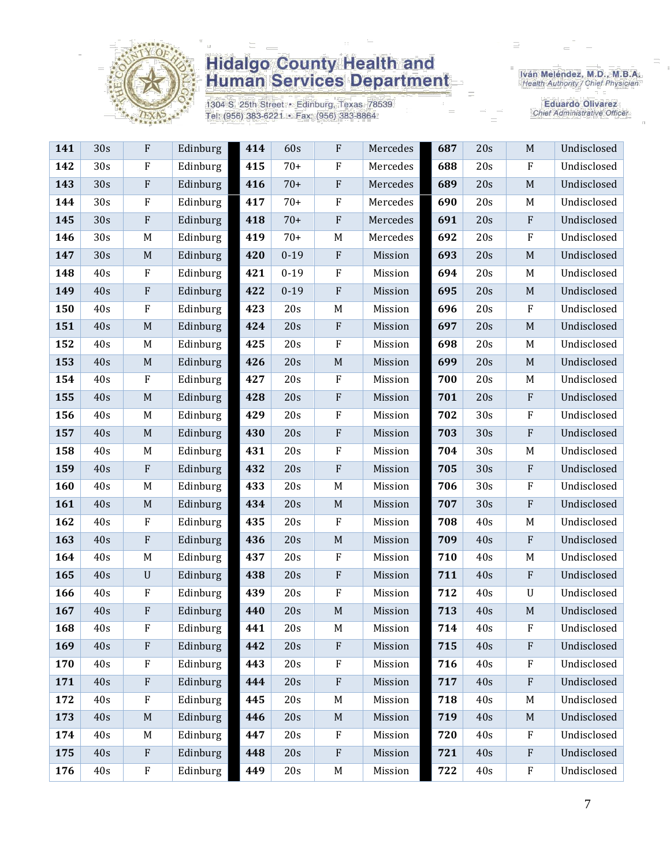

1304 S. 25th Street • Edinburg, Texas 78539<br>Tel: (956) 383-6221 • Fax: (956) 383-8864

Iván Meléndez, M.D., M.B.A.<br>Health Authority / Chief Physician

| 141 | 30s | F           | Edinburg | 414 | 60s      | $\rm F$     | Mercedes | 687 | 20s | $\mathbf M$               | Undisclosed |
|-----|-----|-------------|----------|-----|----------|-------------|----------|-----|-----|---------------------------|-------------|
| 142 | 30s | $\mathbf F$ | Edinburg | 415 | $70+$    | $\rm F$     | Mercedes | 688 | 20s | F                         | Undisclosed |
| 143 | 30s | $\rm F$     | Edinburg | 416 | $70+$    | $\rm F$     | Mercedes | 689 | 20s | $\mathbf M$               | Undisclosed |
| 144 | 30s | $\rm F$     | Edinburg | 417 | $70+$    | $\rm F$     | Mercedes | 690 | 20s | M                         | Undisclosed |
| 145 | 30s | ${\bf F}$   | Edinburg | 418 | $70+$    | $\rm F$     | Mercedes | 691 | 20s | $\mathbf{F}$              | Undisclosed |
| 146 | 30s | M           | Edinburg | 419 | $70+$    | M           | Mercedes | 692 | 20s | ${\bf F}$                 | Undisclosed |
| 147 | 30s | $\mathbf M$ | Edinburg | 420 | $0 - 19$ | $\rm F$     | Mission  | 693 | 20s | $\mathbf M$               | Undisclosed |
| 148 | 40s | $\rm F$     | Edinburg | 421 | $0 - 19$ | $\rm F$     | Mission  | 694 | 20s | M                         | Undisclosed |
| 149 | 40s | ${\bf F}$   | Edinburg | 422 | $0 - 19$ | $\rm F$     | Mission  | 695 | 20s | $\mathbf M$               | Undisclosed |
| 150 | 40s | $\rm F$     | Edinburg | 423 | 20s      | M           | Mission  | 696 | 20s | $\boldsymbol{\mathrm{F}}$ | Undisclosed |
| 151 | 40s | $\mathbf M$ | Edinburg | 424 | 20s      | $\rm F$     | Mission  | 697 | 20s | $\mathbf M$               | Undisclosed |
| 152 | 40s | M           | Edinburg | 425 | 20s      | $\rm F$     | Mission  | 698 | 20s | M                         | Undisclosed |
| 153 | 40s | $\mathbf M$ | Edinburg | 426 | 20s      | $\mathbf M$ | Mission  | 699 | 20s | M                         | Undisclosed |
| 154 | 40s | $\rm F$     | Edinburg | 427 | 20s      | $\rm F$     | Mission  | 700 | 20s | M                         | Undisclosed |
| 155 | 40s | $\mathbf M$ | Edinburg | 428 | 20s      | $\rm F$     | Mission  | 701 | 20s | ${\bf F}$                 | Undisclosed |
| 156 | 40s | M           | Edinburg | 429 | 20s      | $\mathbf F$ | Mission  | 702 | 30s | $\mathbf{F}$              | Undisclosed |
| 157 | 40s | $\mathbf M$ | Edinburg | 430 | 20s      | $\rm F$     | Mission  | 703 | 30s | ${\bf F}$                 | Undisclosed |
| 158 | 40s | M           | Edinburg | 431 | 20s      | $\rm F$     | Mission  | 704 | 30s | M                         | Undisclosed |
| 159 | 40s | ${\bf F}$   | Edinburg | 432 | 20s      | $\rm F$     | Mission  | 705 | 30s | ${\bf F}$                 | Undisclosed |
| 160 | 40s | M           | Edinburg | 433 | 20s      | M           | Mission  | 706 | 30s | ${\bf F}$                 | Undisclosed |
| 161 | 40s | $\mathbf M$ | Edinburg | 434 | 20s      | $\mathbf M$ | Mission  | 707 | 30s | ${\bf F}$                 | Undisclosed |
| 162 | 40s | ${\bf F}$   | Edinburg | 435 | 20s      | $\rm F$     | Mission  | 708 | 40s | M                         | Undisclosed |
| 163 | 40s | ${\bf F}$   | Edinburg | 436 | 20s      | $\mathbf M$ | Mission  | 709 | 40s | ${\bf F}$                 | Undisclosed |
| 164 | 40s | M           | Edinburg | 437 | 20s      | F           | Mission  | 710 | 40s | M                         | Undisclosed |
| 165 | 40s | $\mathbf U$ | Edinburg | 438 | 20s      | $\rm F$     | Mission  | 711 | 40s | ${\bf F}$                 | Undisclosed |
| 166 | 40s | $\rm F$     | Edinburg | 439 | 20s      | $\rm F$     | Mission  | 712 | 40s | $\mathbf U$               | Undisclosed |
| 167 | 40s | $\rm F$     | Edinburg | 440 | 20s      | $\mathbf M$ | Mission  | 713 | 40s | $\mathbf M$               | Undisclosed |
| 168 | 40s | F           | Edinburg | 441 | 20s      | M           | Mission  | 714 | 40s | ${\bf F}$                 | Undisclosed |
| 169 | 40s | ${\bf F}$   | Edinburg | 442 | 20s      | $\rm F$     | Mission  | 715 | 40s | $\mathbf{F}$              | Undisclosed |
| 170 | 40s | F           | Edinburg | 443 | 20s      | $\mathbf F$ | Mission  | 716 | 40s | $\boldsymbol{\mathrm{F}}$ | Undisclosed |
| 171 | 40s | ${\bf F}$   | Edinburg | 444 | 20s      | $\rm F$     | Mission  | 717 | 40s | ${\bf F}$                 | Undisclosed |
| 172 | 40s | $\rm F$     | Edinburg | 445 | 20s      | $\mathbf M$ | Mission  | 718 | 40s | M                         | Undisclosed |
| 173 | 40s | $\mathbf M$ | Edinburg | 446 | 20s      | $\mathbf M$ | Mission  | 719 | 40s | $\mathbf M$               | Undisclosed |
| 174 | 40s | M           | Edinburg | 447 | 20s      | $\mathbf F$ | Mission  | 720 | 40s | $\boldsymbol{\mathrm{F}}$ | Undisclosed |
| 175 | 40s | ${\bf F}$   | Edinburg | 448 | 20s      | $\rm F$     | Mission  | 721 | 40s | ${\bf F}$                 | Undisclosed |
| 176 | 40s | ${\bf F}$   | Edinburg | 449 | 20s      | $\mathbf M$ | Mission  | 722 | 40s | ${\bf F}$                 | Undisclosed |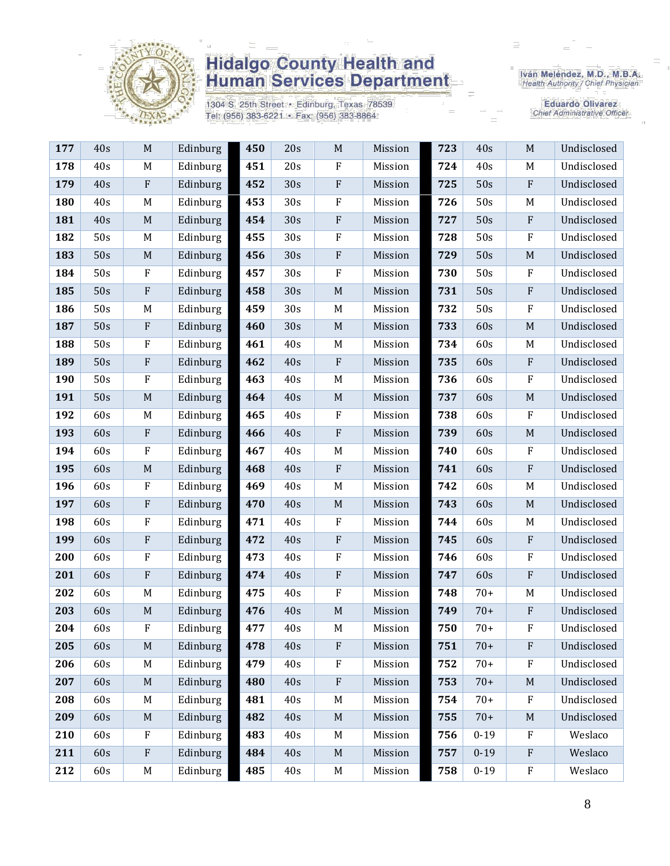

1304 S. 25th Street · Edinburg, Texas 78539 Tel: (956) 383-6221 · Fax: (956) 383-8864

Iván Meléndez, M.D., M.B.A.<br>Health Authority / Chief Physician

| 177 | 40s | $\mathbf M$               | Edinburg | 450 | 20s | M                         | Mission | 723 | 40s      | $\mathbf M$               | Undisclosed |
|-----|-----|---------------------------|----------|-----|-----|---------------------------|---------|-----|----------|---------------------------|-------------|
| 178 | 40s | M                         | Edinburg | 451 | 20s | $\boldsymbol{F}$          | Mission | 724 | 40s      | M                         | Undisclosed |
| 179 | 40s | $\rm F$                   | Edinburg | 452 | 30s | $\rm F$                   | Mission | 725 | 50s      | $\rm F$                   | Undisclosed |
| 180 | 40s | M                         | Edinburg | 453 | 30s | $\mathbf F$               | Mission | 726 | 50s      | M                         | Undisclosed |
| 181 | 40s | M                         | Edinburg | 454 | 30s | $\rm F$                   | Mission | 727 | 50s      | $\rm F$                   | Undisclosed |
| 182 | 50s | M                         | Edinburg | 455 | 30s | $\rm F$                   | Mission | 728 | 50s      | $\rm F$                   | Undisclosed |
| 183 | 50s | $\mathbf M$               | Edinburg | 456 | 30s | $\boldsymbol{\mathrm{F}}$ | Mission | 729 | 50s      | M                         | Undisclosed |
| 184 | 50s | ${\bf F}$                 | Edinburg | 457 | 30s | $\rm F$                   | Mission | 730 | 50s      | $\rm F$                   | Undisclosed |
| 185 | 50s | ${\bf F}$                 | Edinburg | 458 | 30s | $\mathbf M$               | Mission | 731 | 50s      | ${\bf F}$                 | Undisclosed |
| 186 | 50s | M                         | Edinburg | 459 | 30s | $\mathbf M$               | Mission | 732 | 50s      | $\rm F$                   | Undisclosed |
| 187 | 50s | $\boldsymbol{\mathrm{F}}$ | Edinburg | 460 | 30s | $\mathbf M$               | Mission | 733 | 60s      | $\mathbf M$               | Undisclosed |
| 188 | 50s | ${\bf F}$                 | Edinburg | 461 | 40s | $M_{\rm}$                 | Mission | 734 | 60s      | M                         | Undisclosed |
| 189 | 50s | $\rm F$                   | Edinburg | 462 | 40s | $\mathbf{F}$              | Mission | 735 | 60s      | $\mathbf{F}$              | Undisclosed |
| 190 | 50s | ${\bf F}$                 | Edinburg | 463 | 40s | M                         | Mission | 736 | 60s      | $\mathbf F$               | Undisclosed |
| 191 | 50s | M                         | Edinburg | 464 | 40s | M                         | Mission | 737 | 60s      | M                         | Undisclosed |
| 192 | 60s | M                         | Edinburg | 465 | 40s | $\rm F$                   | Mission | 738 | 60s      | $\rm F$                   | Undisclosed |
| 193 | 60s | $\rm F$                   | Edinburg | 466 | 40s | $\rm F$                   | Mission | 739 | 60s      | $\mathbf M$               | Undisclosed |
| 194 | 60s | ${\bf F}$                 | Edinburg | 467 | 40s | M                         | Mission | 740 | 60s      | $\rm F$                   | Undisclosed |
| 195 | 60s | $\mathbf M$               | Edinburg | 468 | 40s | $\rm F$                   | Mission | 741 | 60s      | $\rm F$                   | Undisclosed |
| 196 | 60s | $\rm F$                   | Edinburg | 469 | 40s | M                         | Mission | 742 | 60s      | M                         | Undisclosed |
| 197 | 60s | ${\bf F}$                 | Edinburg | 470 | 40s | $\mathbf M$               | Mission | 743 | 60s      | $\mathbf M$               | Undisclosed |
| 198 | 60s | ${\bf F}$                 | Edinburg | 471 | 40s | $\rm F$                   | Mission | 744 | 60s      | M                         | Undisclosed |
| 199 | 60s | ${\bf F}$                 | Edinburg | 472 | 40s | $\rm F$                   | Mission | 745 | 60s      | $\rm F$                   | Undisclosed |
| 200 | 60s | $\rm F$                   | Edinburg | 473 | 40s | $\mathbf F$               | Mission | 746 | 60s      | $\boldsymbol{\mathrm{F}}$ | Undisclosed |
| 201 | 60s | $\rm F$                   | Edinburg | 474 | 40s | $\rm F$                   | Mission | 747 | 60s      | $\rm F$                   | Undisclosed |
| 202 | 60s | M                         | Edinburg | 475 | 40s | $\rm F$                   | Mission | 748 | $70+$    | M                         | Undisclosed |
| 203 | 60s | $\mathbf M$               | Edinburg | 476 | 40s | $\mathbf M$               | Mission | 749 | $70+$    | $\mathbf F$               | Undisclosed |
| 204 | 60s | F                         | Edinburg | 477 | 40s | M                         | Mission | 750 | $70+$    | $\boldsymbol{\mathrm{F}}$ | Undisclosed |
| 205 | 60s | M                         | Edinburg | 478 | 40s | $\rm F$                   | Mission | 751 | $70+$    | $\mathbf{F}$              | Undisclosed |
| 206 | 60s | M                         | Edinburg | 479 | 40s | ${\bf F}$                 | Mission | 752 | $70+$    | $\rm F$                   | Undisclosed |
| 207 | 60s | $\mathbf M$               | Edinburg | 480 | 40s | $\rm F$                   | Mission | 753 | $70+$    | $\mathbf M$               | Undisclosed |
| 208 | 60s | M                         | Edinburg | 481 | 40s | $\mathbf M$               | Mission | 754 | $70+$    | $\rm F$                   | Undisclosed |
| 209 | 60s | $\mathbf M$               | Edinburg | 482 | 40s | $\mathbf M$               | Mission | 755 | $70+$    | M                         | Undisclosed |
| 210 | 60s | $\mathbf F$               | Edinburg | 483 | 40s | M                         | Mission | 756 | $0 - 19$ | $\mathbf{F}$              | Weslaco     |
| 211 | 60s | $\rm F$                   | Edinburg | 484 | 40s | $\mathbf M$               | Mission | 757 | $0 - 19$ | $\boldsymbol{\mathrm{F}}$ | Weslaco     |
| 212 | 60s | M                         | Edinburg | 485 | 40s | $\mathbf M$               | Mission | 758 | $0 - 19$ | ${\bf F}$                 | Weslaco     |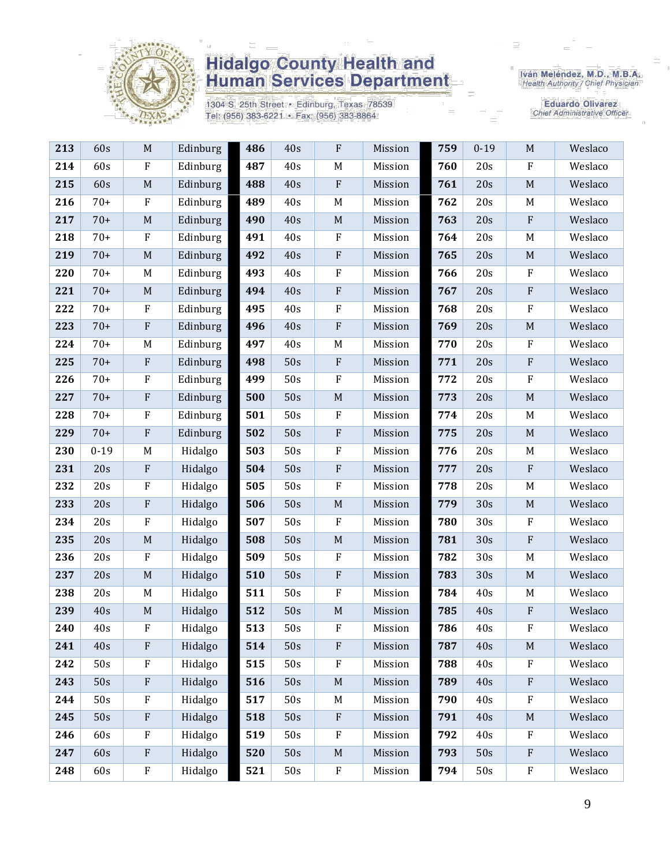

1304 S. 25th Street · Edinburg, Texas 78539 Tel: (956) 383-6221 · Fax: (956) 383-8864

Iván Meléndez, M.D., M.B.A.<br>Health Authority / Chief Physician

| 213 | 60s      | M                         | Edinburg | 486 | 40s   | ${\bf F}$   | Mission | 759 | $0 - 19$ | $M_{\rm}$                 | Weslaco |
|-----|----------|---------------------------|----------|-----|-------|-------------|---------|-----|----------|---------------------------|---------|
| 214 | 60s      | ${\bf F}$                 | Edinburg | 487 | 40s   | $\mathbf M$ | Mission | 760 | 20s      | ${\bf F}$                 | Weslaco |
| 215 | 60s      | $\mathbf M$               | Edinburg | 488 | 40s   | ${\bf F}$   | Mission | 761 | 20s      | $\mathbf M$               | Weslaco |
| 216 | $70+$    | $\boldsymbol{\mathrm{F}}$ | Edinburg | 489 | 40s   | $\mathbf M$ | Mission | 762 | 20s      | M                         | Weslaco |
| 217 | $70+$    | $\mathbf M$               | Edinburg | 490 | 40s   | $\mathbf M$ | Mission | 763 | 20s      | ${\bf F}$                 | Weslaco |
| 218 | $70+$    | ${\bf F}$                 | Edinburg | 491 | 40s   | $\rm F$     | Mission | 764 | 20s      | M                         | Weslaco |
| 219 | $70+$    | $\mathbf M$               | Edinburg | 492 | 40s   | ${\bf F}$   | Mission | 765 | 20s      | $\mathbf M$               | Weslaco |
| 220 | $70+$    | M                         | Edinburg | 493 | 40s   | ${\bf F}$   | Mission | 766 | 20s      | $\mathbf{F}$              | Weslaco |
| 221 | $70+$    | $\mathbf M$               | Edinburg | 494 | 40s   | $\rm F$     | Mission | 767 | 20s      | ${\bf F}$                 | Weslaco |
| 222 | $70+$    | $\boldsymbol{\mathrm{F}}$ | Edinburg | 495 | 40s   | $\rm F$     | Mission | 768 | 20s      | ${\bf F}$                 | Weslaco |
| 223 | $70+$    | ${\bf F}$                 | Edinburg | 496 | 40s   | ${\bf F}$   | Mission | 769 | 20s      | $\mathbf M$               | Weslaco |
| 224 | $70+$    | M                         | Edinburg | 497 | 40s   | $\mathbf M$ | Mission | 770 | 20s      | ${\bf F}$                 | Weslaco |
| 225 | $70+$    | ${\bf F}$                 | Edinburg | 498 | 50s   | $\rm F$     | Mission | 771 | 20s      | $\boldsymbol{\mathrm{F}}$ | Weslaco |
| 226 | $70+$    | F                         | Edinburg | 499 | 50s   | ${\bf F}$   | Mission | 772 | 20s      | ${\bf F}$                 | Weslaco |
| 227 | $70+$    | ${\bf F}$                 | Edinburg | 500 | 50s   | $\mathbf M$ | Mission | 773 | 20s      | $\mathbf M$               | Weslaco |
| 228 | $70+$    | $\boldsymbol{\mathrm{F}}$ | Edinburg | 501 | 50s   | $\rm F$     | Mission | 774 | 20s      | M                         | Weslaco |
| 229 | $70+$    | ${\bf F}$                 | Edinburg | 502 | 50s   | ${\bf F}$   | Mission | 775 | 20s      | $\mathbf M$               | Weslaco |
| 230 | $0 - 19$ | M                         | Hidalgo  | 503 | 50s   | ${\bf F}$   | Mission | 776 | 20s      | M                         | Weslaco |
| 231 | 20s      | ${\bf F}$                 | Hidalgo  | 504 | 50s   | ${\bf F}$   | Mission | 777 | 20s      | ${\bf F}$                 | Weslaco |
| 232 | 20s      | ${\bf F}$                 | Hidalgo  | 505 | 50s   | $\rm F$     | Mission | 778 | 20s      | M                         | Weslaco |
| 233 | 20s      | ${\bf F}$                 | Hidalgo  | 506 | 50s   | $\mathbf M$ | Mission | 779 | 30s      | $\mathbf M$               | Weslaco |
| 234 | 20s      | $\boldsymbol{\mathrm{F}}$ | Hidalgo  | 507 | 50s   | ${\bf F}$   | Mission | 780 | 30s      | ${\bf F}$                 | Weslaco |
| 235 | 20s      | $\mathbf M$               | Hidalgo  | 508 | 50s   | $\mathbf M$ | Mission | 781 | 30s      | ${\bf F}$                 | Weslaco |
| 236 | 20s      | ${\bf F}$                 | Hidalgo  | 509 | 50s   | $\rm F$     | Mission | 782 | 30s      | M                         | Weslaco |
| 237 | 20s      | $\mathbf M$               | Hidalgo  | 510 | 50s   | ${\bf F}$   | Mission | 783 | 30s      | $\mathbf M$               | Weslaco |
| 238 | 20s      | M                         | Hidalgo  | 511 | 50s   | $\rm F$     | Mission | 784 | 40s      | M                         | Weslaco |
| 239 | 40s      | $\mathbf M$               | Hidalgo  | 512 | 50s   | $\mathbf M$ | Mission | 785 | 40s      | ${\bf F}$                 | Weslaco |
| 240 | 40s      | $\mathbf{F}$              | Hidalgo  | 513 | $50s$ | ${\bf F}$   | Mission | 786 | 40s      | F                         | Weslaco |
| 241 | 40s      | ${\bf F}$                 | Hidalgo  | 514 | 50s   | $\rm F$     | Mission | 787 | 40s      | $\mathbf M$               | Weslaco |
| 242 | 50s      | ${\bf F}$                 | Hidalgo  | 515 | 50s   | ${\bf F}$   | Mission | 788 | 40s      | F                         | Weslaco |
| 243 | 50s      | ${\bf F}$                 | Hidalgo  | 516 | 50s   | $\mathbf M$ | Mission | 789 | 40s      | ${\bf F}$                 | Weslaco |
| 244 | 50s      | $\rm F$                   | Hidalgo  | 517 | 50s   | $\mathbf M$ | Mission | 790 | 40s      | F                         | Weslaco |
| 245 | 50s      | ${\bf F}$                 | Hidalgo  | 518 | 50s   | ${\bf F}$   | Mission | 791 | 40s      | $\mathbf M$               | Weslaco |
| 246 | 60s      | $\boldsymbol{\mathrm{F}}$ | Hidalgo  | 519 | 50s   | $\rm F$     | Mission | 792 | 40s      | F                         | Weslaco |
| 247 | 60s      | ${\bf F}$                 | Hidalgo  | 520 | 50s   | $\mathbf M$ | Mission | 793 | 50s      | ${\bf F}$                 | Weslaco |
| 248 | 60s      | ${\bf F}$                 | Hidalgo  | 521 | 50s   | $\rm F$     | Mission | 794 | 50s      | ${\bf F}$                 | Weslaco |